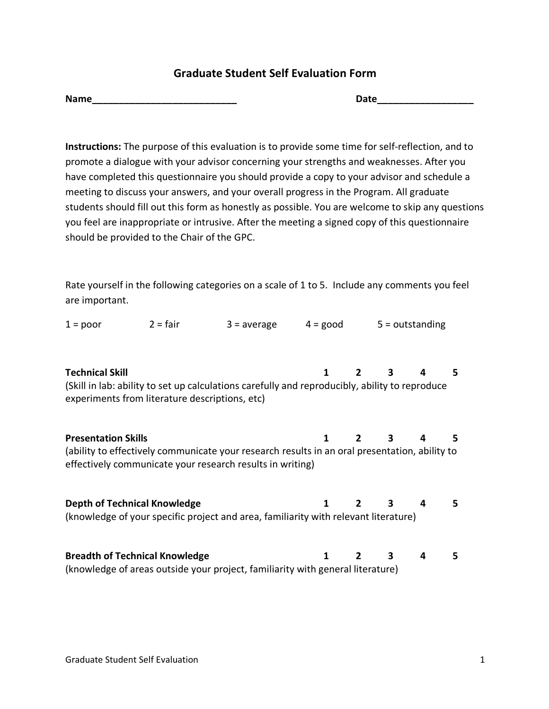## **Graduate Student Self Evaluation Form**

| <b>Name</b> |  |  |
|-------------|--|--|

 $\blacksquare$  Date

**Instructions:** The purpose of this evaluation is to provide some time for self-reflection, and to promote a dialogue with your advisor concerning your strengths and weaknesses. After you have completed this questionnaire you should provide a copy to your advisor and schedule a meeting to discuss your answers, and your overall progress in the Program. All graduate students should fill out this form as honestly as possible. You are welcome to skip any questions you feel are inappropriate or intrusive. After the meeting a signed copy of this questionnaire should be provided to the Chair of the GPC.

Rate yourself in the following categories on a scale of 1 to 5. Include any comments you feel are important.

| $1 = poor$                                                               | $2 = \text{fair}$ | $3 = average$                                                                                                                                              | $4 = \text{good}$ |                |                         | $5 =$ outstanding |    |
|--------------------------------------------------------------------------|-------------------|------------------------------------------------------------------------------------------------------------------------------------------------------------|-------------------|----------------|-------------------------|-------------------|----|
| <b>Technical Skill</b><br>experiments from literature descriptions, etc) |                   | (Skill in lab: ability to set up calculations carefully and reproducibly, ability to reproduce                                                             | 1                 | $\mathbf{2}$   | 3                       | 4                 | 5. |
| <b>Presentation Skills</b>                                               |                   | (ability to effectively communicate your research results in an oral presentation, ability to<br>effectively communicate your research results in writing) | 1                 |                | 3                       | 4                 | 5. |
| <b>Depth of Technical Knowledge</b>                                      |                   | (knowledge of your specific project and area, familiarity with relevant literature)                                                                        | 1                 | $\overline{2}$ | $\overline{\mathbf{3}}$ | 4                 | 5. |
| <b>Breadth of Technical Knowledge</b>                                    |                   | (knowledge of areas outside your project, familiarity with general literature)                                                                             | 1                 | 2              | 3                       | 4                 | 5. |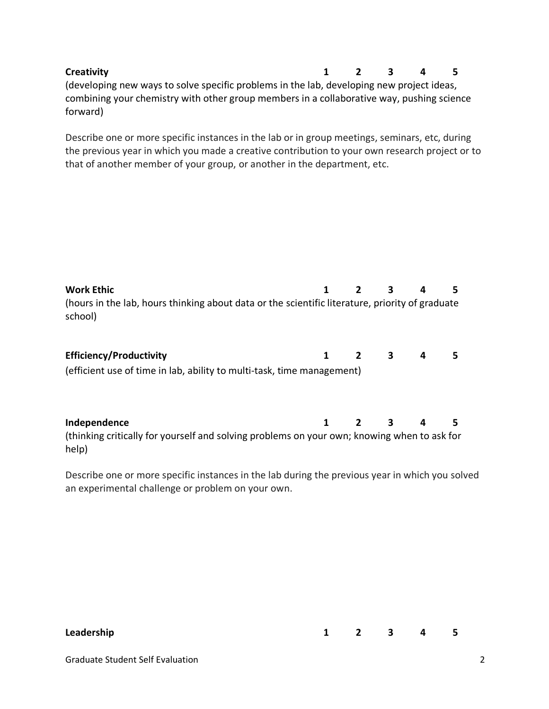| <b>Creativity</b>                                                                         | $\mathbf{1}$ | 2 3 | $\overline{a}$ | ъ. |
|-------------------------------------------------------------------------------------------|--------------|-----|----------------|----|
| (developing new ways to solve specific problems in the lab, developing new project ideas, |              |     |                |    |
| combining your chemistry with other group members in a collaborative way, pushing science |              |     |                |    |
| forward)                                                                                  |              |     |                |    |

Describe one or more specific instances in the lab or in group meetings, seminars, etc, during the previous year in which you made a creative contribution to your own research project or to that of another member of your group, or another in the department, etc.

| <b>Work Ethic</b><br>(hours in the lab, hours thinking about data or the scientific literature, priority of graduate<br>school) |              | $\overline{\mathbf{3}}$ | 4 | 5. |
|---------------------------------------------------------------------------------------------------------------------------------|--------------|-------------------------|---|----|
| <b>Efficiency/Productivity</b><br>(efficient use of time in lab, ability to multi-task, time management)                        | $\mathbf{1}$ | $2 \t3 \t4$             |   | 5  |
| Independence<br>(thinking critically for yourself and solving problems on your own; knowing when to ask for<br>help)            |              | $2 \t3 \t4$             |   | 5  |

Describe one or more specific instances in the lab during the previous year in which you solved an experimental challenge or problem on your own.

| <b>Leadership</b> | $1$ 2 3 4 5 |  |  |
|-------------------|-------------|--|--|

Graduate Student Self Evaluation 2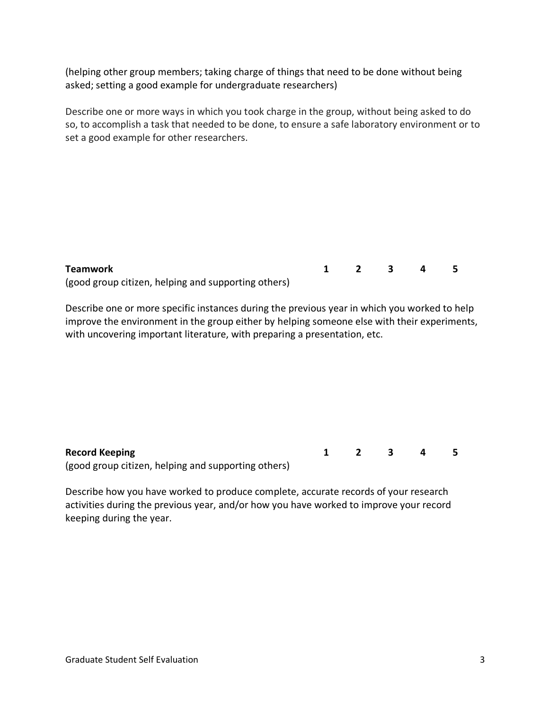(helping other group members; taking charge of things that need to be done without being asked; setting a good example for undergraduate researchers)

Describe one or more ways in which you took charge in the group, without being asked to do so, to accomplish a task that needed to be done, to ensure a safe laboratory environment or to set a good example for other researchers.

| Teamwork                                            | $1 \quad 2 \quad 3 \quad 4$ |  |  |
|-----------------------------------------------------|-----------------------------|--|--|
| (good group citizen, helping and supporting others) |                             |  |  |

Describe one or more specific instances during the previous year in which you worked to help improve the environment in the group either by helping someone else with their experiments, with uncovering important literature, with preparing a presentation, etc.

| <b>Record Keeping</b>                               | 1 2 3 4 5 |  |  |
|-----------------------------------------------------|-----------|--|--|
| (good group citizen, helping and supporting others) |           |  |  |

Describe how you have worked to produce complete, accurate records of your research activities during the previous year, and/or how you have worked to improve your record keeping during the year.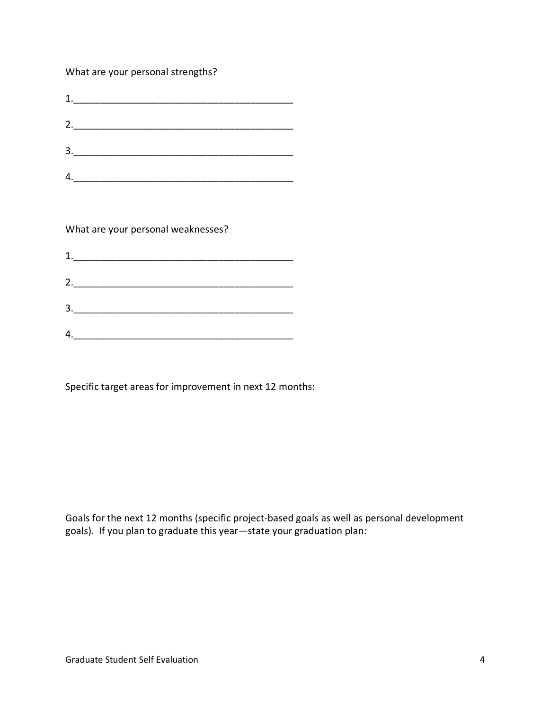What are your personal strengths?

| $1. \underline{\hspace{2cm}}$ |  |  |
|-------------------------------|--|--|
| 2.                            |  |  |
| $\frac{3.}{\sqrt{2}}$         |  |  |
| 4.                            |  |  |

What are your personal weaknesses?

|    | 2. $\qquad \qquad$ |  |
|----|--------------------|--|
| 3. |                    |  |
|    |                    |  |

Specific target areas for improvement in next 12 months:

Goals for the next 12 months (specific project-based goals as well as personal development goals). If you plan to graduate this year—state your graduation plan: